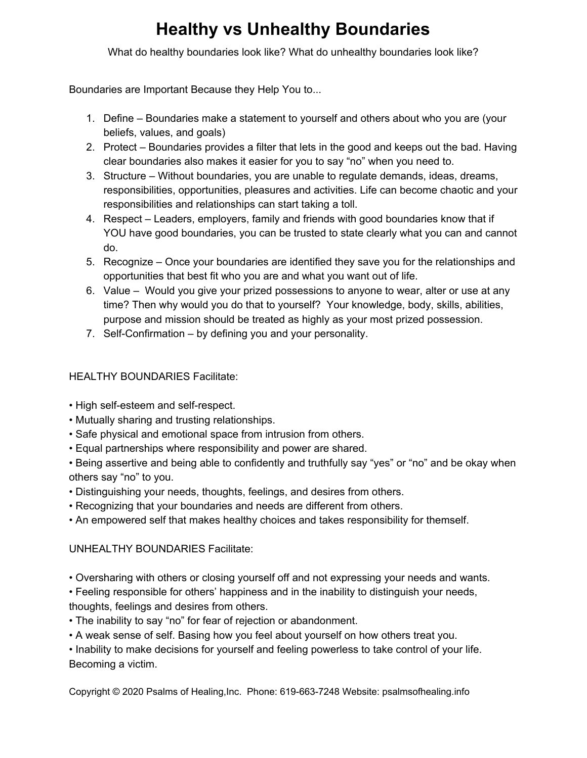## **Healthy vs Unhealthy Boundaries**

What do healthy boundaries look like? What do unhealthy boundaries look like?

Boundaries are Important Because they Help You to...

- 1. Define Boundaries make a statement to yourself and others about who you are (your beliefs, values, and goals)
- 2. Protect Boundaries provides a filter that lets in the good and keeps out the bad. Having clear boundaries also makes it easier for you to say "no" when you need to.
- 3. Structure Without boundaries, you are unable to regulate demands, ideas, dreams, responsibilities, opportunities, pleasures and activities. Life can become chaotic and your responsibilities and relationships can start taking a toll.
- 4. Respect Leaders, employers, family and friends with good boundaries know that if YOU have good boundaries, you can be trusted to state clearly what you can and cannot do.
- 5. Recognize Once your boundaries are identified they save you for the relationships and opportunities that best fit who you are and what you want out of life.
- 6. Value Would you give your prized possessions to anyone to wear, alter or use at any time? Then why would you do that to yourself? Your knowledge, body, skills, abilities, purpose and mission should be treated as highly as your most prized possession.
- 7. Self-Confirmation by defining you and your personality.

## HEALTHY BOUNDARIES Facilitate:

- High self-esteem and self-respect.
- Mutually sharing and trusting relationships.
- Safe physical and emotional space from intrusion from others.
- Equal partnerships where responsibility and power are shared.

• Being assertive and being able to confidently and truthfully say "yes" or "no" and be okay when others say "no" to you.

- Distinguishing your needs, thoughts, feelings, and desires from others.
- Recognizing that your boundaries and needs are different from others.
- An empowered self that makes healthy choices and takes responsibility for themself.

## UNHEALTHY BOUNDARIES Facilitate:

- Oversharing with others or closing yourself off and not expressing your needs and wants.
- Feeling responsible for others' happiness and in the inability to distinguish your needs, thoughts, feelings and desires from others.
- The inability to say "no" for fear of rejection or abandonment.
- A weak sense of self. Basing how you feel about yourself on how others treat you.

• Inability to make decisions for yourself and feeling powerless to take control of your life. Becoming a victim.

Copyright © 2020 Psalms of Healing,Inc. Phone: 619-663-7248 Website: psalmsofhealing.info